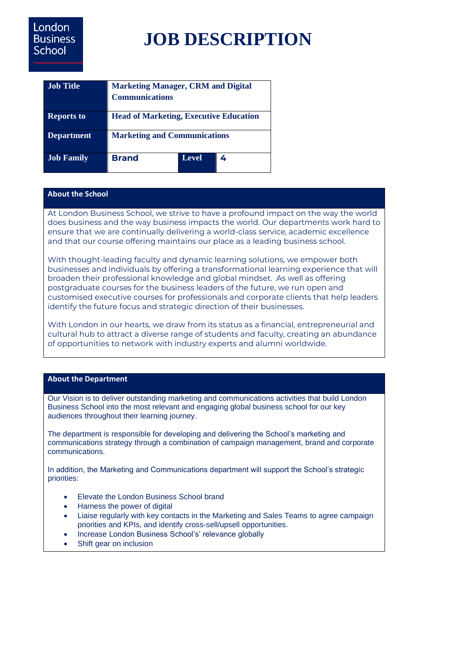# London **Business** School

# **JOB DESCRIPTION**

| <b>Job</b> Title  | <b>Marketing Manager, CRM and Digital</b><br><b>Communications</b> |              |   |
|-------------------|--------------------------------------------------------------------|--------------|---|
|                   |                                                                    |              |   |
| <b>Reports to</b> | <b>Head of Marketing, Executive Education</b>                      |              |   |
| <b>Department</b> | <b>Marketing and Communications</b>                                |              |   |
| <b>Job Family</b> | <b>Brand</b>                                                       | <b>Level</b> | 4 |

#### **About the School**

At London Business School, we strive to have a profound impact on the way the world does business and the way business impacts the world. Our departments work hard to ensure that we are continually delivering a world-class service, academic excellence and that our course offering maintains our place as a leading business school.

With thought-leading faculty and dynamic learning solutions, we empower both businesses and individuals by offering a transformational learning experience that will broaden their professional knowledge and global mindset. As well as offering postgraduate courses for the business leaders of the future, we run open and customised executive courses for professionals and corporate clients that help leaders identify the future focus and strategic direction of their businesses.

With London in our hearts, we draw from its status as a financial, entrepreneurial and cultural hub to attract a diverse range of students and faculty, creating an abundance of opportunities to network with industry experts and alumni worldwide.

#### **About the Department**

Our Vision is to deliver outstanding marketing and communications activities that build London Business School into the most relevant and engaging global business school for our key audiences throughout their learning journey.

The department is responsible for developing and delivering the School's marketing and communications strategy through a combination of campaign management, brand and corporate communications.

In addition, the Marketing and Communications department will support the School's strategic priorities:

- Elevate the London Business School brand
- Harness the power of digital
- Liaise regularly with key contacts in the Marketing and Sales Teams to agree campaign priorities and KPIs, and identify cross-sell/upsell opportunities.
- Increase London Business School's' relevance globally
- Shift gear on inclusion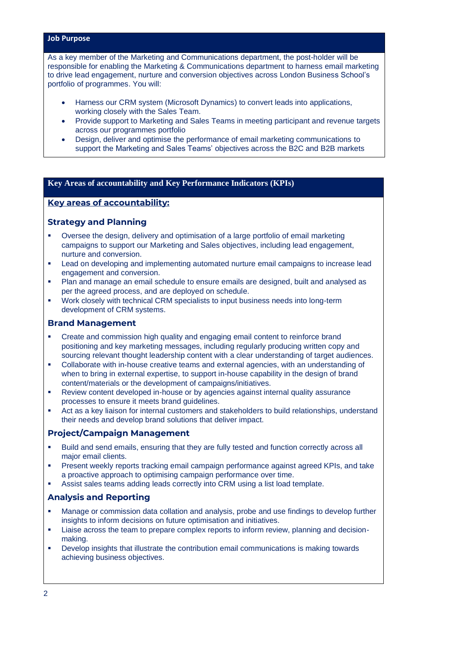#### **Job Purpose**

As a key member of the Marketing and Communications department, the post-holder will be responsible for enabling the Marketing & Communications department to harness email marketing to drive lead engagement, nurture and conversion objectives across London Business School's portfolio of programmes. You will:

- Harness our CRM system (Microsoft Dynamics) to convert leads into applications, working closely with the Sales Team.
- Provide support to Marketing and Sales Teams in meeting participant and revenue targets across our programmes portfolio
- Design, deliver and optimise the performance of email marketing communications to support the Marketing and Sales Teams' objectives across the B2C and B2B markets

#### **Key Areas of accountability and Key Performance Indicators (KPIs)**

### **Key areas of accountability:**

#### **Strategy and Planning**

- Oversee the design, delivery and optimisation of a large portfolio of email marketing campaigns to support our Marketing and Sales objectives, including lead engagement, nurture and conversion.
- **•** Lead on developing and implementing automated nurture email campaigns to increase lead engagement and conversion.
- Plan and manage an email schedule to ensure emails are designed, built and analysed as per the agreed process, and are deployed on schedule.
- Work closely with technical CRM specialists to input business needs into long-term development of CRM systems.

#### **Brand Management**

- Create and commission high quality and engaging email content to reinforce brand positioning and key marketing messages, including regularly producing written copy and sourcing relevant thought leadership content with a clear understanding of target audiences.
- Collaborate with in-house creative teams and external agencies, with an understanding of when to bring in external expertise, to support in-house capability in the design of brand content/materials or the development of campaigns/initiatives.
- Review content developed in-house or by agencies against internal quality assurance processes to ensure it meets brand guidelines.
- Act as a key liaison for internal customers and stakeholders to build relationships, understand their needs and develop brand solutions that deliver impact.

#### **Project/Campaign Management**

- Build and send emails, ensuring that they are fully tested and function correctly across all major email clients.
- Present weekly reports tracking email campaign performance against agreed KPIs, and take a proactive approach to optimising campaign performance over time.
- Assist sales teams adding leads correctly into CRM using a list load template.

#### **Analysis and Reporting**

- Manage or commission data collation and analysis, probe and use findings to develop further insights to inform decisions on future optimisation and initiatives.
- **EXECT** Liaise across the team to prepare complex reports to inform review, planning and decisionmaking.
- Develop insights that illustrate the contribution email communications is making towards achieving business objectives.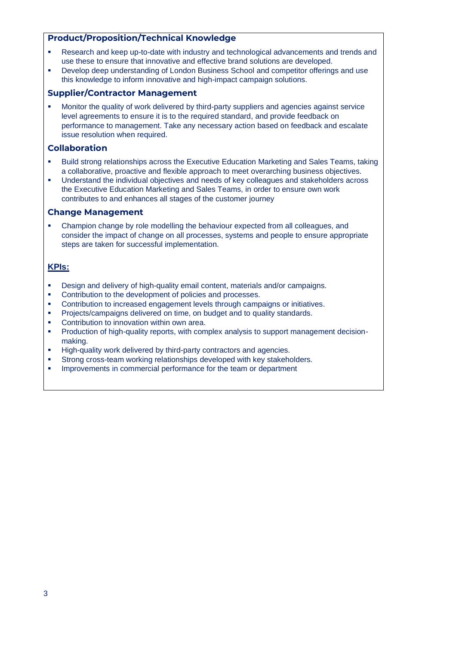## **Product/Proposition/Technical Knowledge**

- Research and keep up-to-date with industry and technological advancements and trends and use these to ensure that innovative and effective brand solutions are developed.
- **•** Develop deep understanding of London Business School and competitor offerings and use this knowledge to inform innovative and high-impact campaign solutions.

#### **Supplier/Contractor Management**

Monitor the quality of work delivered by third-party suppliers and agencies against service level agreements to ensure it is to the required standard, and provide feedback on performance to management. Take any necessary action based on feedback and escalate issue resolution when required.

#### **Collaboration**

- Build strong relationships across the Executive Education Marketing and Sales Teams, taking a collaborative, proactive and flexible approach to meet overarching business objectives.
- Understand the individual objectives and needs of key colleagues and stakeholders across the Executive Education Marketing and Sales Teams, in order to ensure own work contributes to and enhances all stages of the customer journey

#### **Change Management**

Champion change by role modelling the behaviour expected from all colleagues, and consider the impact of change on all processes, systems and people to ensure appropriate steps are taken for successful implementation.

#### **KPIs:**

- Design and delivery of high-quality email content, materials and/or campaigns.
- Contribution to the development of policies and processes.
- **Contribution to increased engagement levels through campaigns or initiatives.**
- **•** Projects/campaigns delivered on time, on budget and to quality standards.
- Contribution to innovation within own area.
- Production of high-quality reports, with complex analysis to support management decisionmaking.
- High-quality work delivered by third-party contractors and agencies.
- Strong cross-team working relationships developed with key stakeholders.
- **Improvements in commercial performance for the team or department**